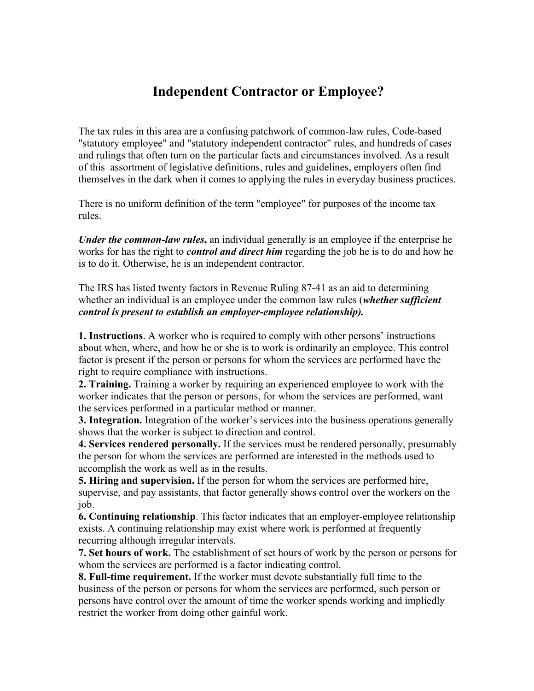## **Independent Contractor or Employee?**

The tax rules in this area are a confusing patchwork of common-law rules, Code-based "statutory employee" and "statutory independent contractor" rules, and hundreds of cases and rulings that often turn on the particular facts and circumstances involved. As a result of this assortment of legislative definitions, rules and guidelines, employers often find themselves in the dark when it comes to applying the rules in everyday business practices.

There is no uniform definition of the term "employee" for purposes of the income tax rules.

*Under the common-law rules***,** an individual generally is an employee if the enterprise he works for has the right to *control and direct him* regarding the job he is to do and how he is to do it. Otherwise, he is an independent contractor.

The IRS has listed twenty factors in Revenue Ruling 87-41 as an aid to determining whether an individual is an employee under the common law rules (*whether sufficient control is present to establish an employer-employee relationship).*

**1. Instructions**. A worker who is required to comply with other persons' instructions about when, where, and how he or she is to work is ordinarily an employee. This control factor is present if the person or persons for whom the services are performed have the right to require compliance with instructions.

**2. Training.** Training a worker by requiring an experienced employee to work with the worker indicates that the person or persons, for whom the services are performed, want the services performed in a particular method or manner.

**3. Integration.** Integration of the worker's services into the business operations generally shows that the worker is subject to direction and control.

**4. Services rendered personally.** If the services must be rendered personally, presumably the person for whom the services are performed are interested in the methods used to accomplish the work as well as in the results.

**5. Hiring and supervision.** If the person for whom the services are performed hire, supervise, and pay assistants, that factor generally shows control over the workers on the job.

**6. Continuing relationship**. This factor indicates that an employer-employee relationship exists. A continuing relationship may exist where work is performed at frequently recurring although irregular intervals.

**7. Set hours of work.** The establishment of set hours of work by the person or persons for whom the services are performed is a factor indicating control.

**8. Full-time requirement.** If the worker must devote substantially full time to the business of the person or persons for whom the services are performed, such person or persons have control over the amount of time the worker spends working and impliedly restrict the worker from doing other gainful work.